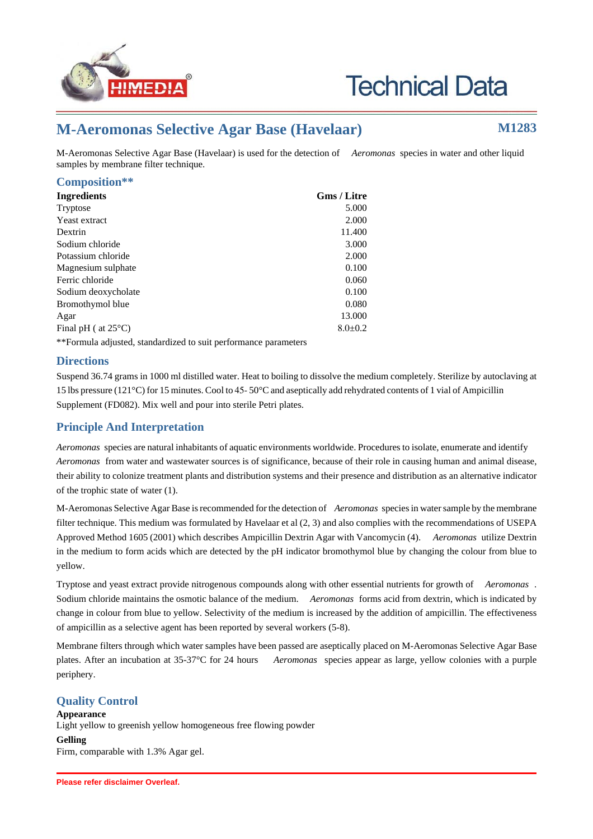



# **M-Aeromonas Selective Agar Base (Havelaar) M1283**

M-Aeromonas Selective Agar Base (Havelaar) is used for the detection of *Aeromonas* species in water and other liquid samples by membrane filter technique.

## **Composition\*\***

| <b>Ingredients</b>                                              | <b>Gms / Litre</b> |
|-----------------------------------------------------------------|--------------------|
| Tryptose                                                        | 5.000              |
| Yeast extract                                                   | 2.000              |
| Dextrin                                                         | 11.400             |
| Sodium chloride                                                 | 3.000              |
| Potassium chloride                                              | 2.000              |
| Magnesium sulphate                                              | 0.100              |
| Ferric chloride                                                 | 0.060              |
| Sodium deoxycholate                                             | 0.100              |
| Bromothymol blue                                                | 0.080              |
| Agar                                                            | 13.000             |
| Final pH ( $at 25^{\circ}$ C)                                   | $8.0 \pm 0.2$      |
| **Formula adjusted, standardized to suit performance parameters |                    |

# **Directions**

Suspend 36.74 grams in 1000 ml distilled water. Heat to boiling to dissolve the medium completely. Sterilize by autoclaving at 15 lbs pressure (121°C) for 15 minutes. Cool to 45- 50°C and aseptically add rehydrated contents of 1 vial of Ampicillin Supplement (FD082). Mix well and pour into sterile Petri plates.

# **Principle And Interpretation**

*Aeromonas* species are natural inhabitants of aquatic environments worldwide. Procedures to isolate, enumerate and identify *Aeromonas* from water and wastewater sources is of significance, because of their role in causing human and animal disease, their ability to colonize treatment plants and distribution systems and their presence and distribution as an alternative indicator of the trophic state of water (1).

M-Aeromonas Selective Agar Base is recommended for the detection of *Aeromonas* species in water sample by the membrane filter technique. This medium was formulated by Havelaar et al (2, 3) and also complies with the recommendations of USEPA Approved Method 1605 (2001) which describes Ampicillin Dextrin Agar with Vancomycin (4). *Aeromonas* utilize Dextrin in the medium to form acids which are detected by the pH indicator bromothymol blue by changing the colour from blue to yellow.

Tryptose and yeast extract provide nitrogenous compounds along with other essential nutrients for growth of *Aeromonas* . Sodium chloride maintains the osmotic balance of the medium. *Aeromonas* forms acid from dextrin, which is indicated by change in colour from blue to yellow. Selectivity of the medium is increased by the addition of ampicillin. The effectiveness of ampicillin as a selective agent has been reported by several workers (5-8).

Membrane filters through which water samples have been passed are aseptically placed on M-Aeromonas Selective Agar Base plates. After an incubation at 35-37°C for 24 hours *Aeromonas* species appear as large, yellow colonies with a purple periphery.

# **Quality Control**

**Appearance** Light yellow to greenish yellow homogeneous free flowing powder **Gelling** Firm, comparable with 1.3% Agar gel.